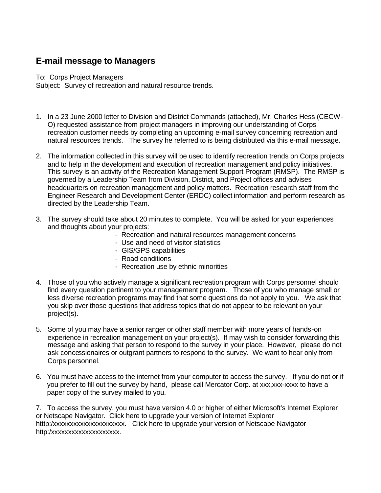## **E-mail message to Managers**

To: Corps Project Managers

Subject: Survey of recreation and natural resource trends.

- 1. In a 23 June 2000 letter to Division and District Commands (attached), Mr. Charles Hess (CECW-O) requested assistance from project managers in improving our understanding of Corps recreation customer needs by completing an upcoming e-mail survey concerning recreation and natural resources trends. The survey he referred to is being distributed via this e-mail message.
- 2. The information collected in this survey will be used to identify recreation trends on Corps projects and to help in the development and execution of recreation management and policy initiatives. This survey is an activity of the Recreation Management Support Program (RMSP). The RMSP is governed by a Leadership Team from Division, District, and Project offices and advises headquarters on recreation management and policy matters. Recreation research staff from the Engineer Research and Development Center (ERDC) collect information and perform research as directed by the Leadership Team.
- 3. The survey should take about 20 minutes to complete. You will be asked for your experiences and thoughts about your projects:
	- Recreation and natural resources management concerns
	- Use and need of visitor statistics
	- GIS/GPS capabilities
	- Road conditions
	- Recreation use by ethnic minorities
- 4. Those of you who actively manage a significant recreation program with Corps personnel should find every question pertinent to your management program. Those of you who manage small or less diverse recreation programs may find that some questions do not apply to you. We ask that you skip over those questions that address topics that do not appear to be relevant on your project(s).
- 5. Some of you may have a senior ranger or other staff member with more years of hands-on experience in recreation management on your project(s). If may wish to consider forwarding this message and asking that person to respond to the survey in your place. However, please do not ask concessionaires or outgrant partners to respond to the survey. We want to hear only from Corps personnel.
- 6. You must have access to the internet from your computer to access the survey. If you do not or if you prefer to fill out the survey by hand, please call Mercator Corp. at xxx,xxx-xxxx to have a paper copy of the survey mailed to you.

7. To access the survey, you must have version 4.0 or higher of either Microsoft's Internet Explorer or Netscape Navigator. Click here to upgrade your version of Internet Explorer htttp:/xxxxxxxxxxxxxxxxxxxxxx. Click here to upgrade your version of Netscape Navigator http:/xxxxxxxxxxxxxxxxxx.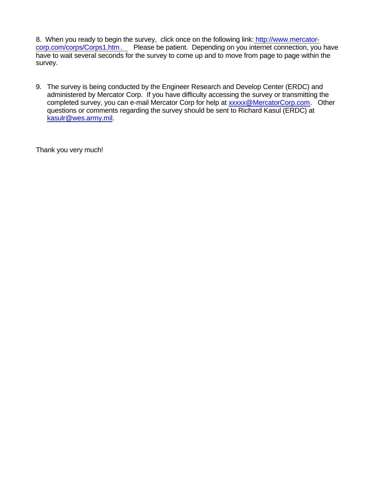8. When you ready to begin the survey, click once on the following link: http://www.mercatorcorp.com/corps/Corps1.htm. Please be patient. Depending on you internet connection, you have have to wait several seconds for the survey to come up and to move from page to page within the survey.

9. The survey is being conducted by the Engineer Research and Develop Center (ERDC) and administered by Mercator Corp. If you have difficulty accessing the survey or transmitting the completed survey, you can e-mail Mercator Corp for help at xxxxx@MercatorCorp.com. Other questions or comments regarding the survey should be sent to Richard Kasul (ERDC) at kasulr@wes.army.mil.

Thank you very much!